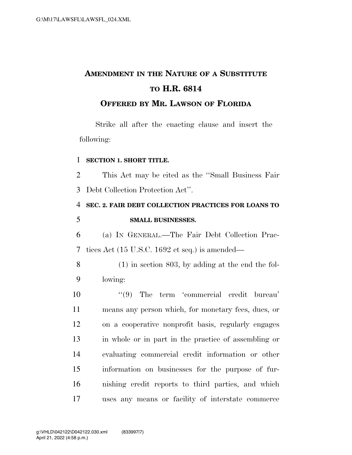# **AMENDMENT IN THE NATURE OF A SUBSTITUTE TO H.R. 6814**

### **OFFERED BY MR. LAWSON OF FLORIDA**

Strike all after the enacting clause and insert the following:

#### **SECTION 1. SHORT TITLE.**

 This Act may be cited as the ''Small Business Fair Debt Collection Protection Act''.

## **SEC. 2. FAIR DEBT COLLECTION PRACTICES FOR LOANS TO SMALL BUSINESSES.**

 (a) IN GENERAL.—The Fair Debt Collection Prac-tices Act (15 U.S.C. 1692 et seq.) is amended—

 (1) in section 803, by adding at the end the fol-lowing:

 $(9)$  The term 'commercial credit bureau' means any person which, for monetary fees, dues, or on a cooperative nonprofit basis, regularly engages in whole or in part in the practice of assembling or evaluating commercial credit information or other information on businesses for the purpose of fur- nishing credit reports to third parties, and which uses any means or facility of interstate commerce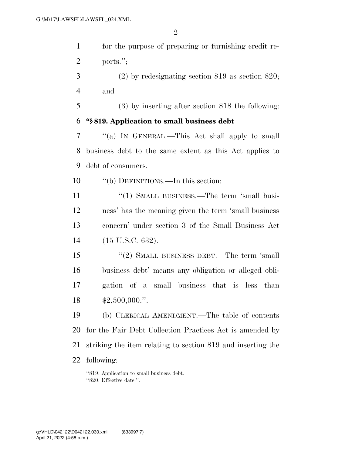$\overline{2}$ 

| $\mathbf{1}$   | for the purpose of preparing or furnishing credit re-       |
|----------------|-------------------------------------------------------------|
| $\overline{2}$ | ports.";                                                    |
| 3              | $(2)$ by redesignating section 819 as section 820;          |
| $\overline{4}$ | and                                                         |
| 5              | $(3)$ by inserting after section 818 the following:         |
| 6              | "§819. Application to small business debt                   |
| 7              | "(a) IN GENERAL.—This Act shall apply to small              |
| 8              | business debt to the same extent as this Act applies to     |
| 9              | debt of consumers.                                          |
| 10             | "(b) DEFINITIONS.—In this section:                          |
| 11             | "(1) SMALL BUSINESS.—The term 'small busi-                  |
| 12             | ness' has the meaning given the term 'small business        |
| 13             | concern' under section 3 of the Small Business Act          |
| 14             | $(15 \text{ U.S.C. } 632).$                                 |
| 15             | "(2) SMALL BUSINESS DEBT.—The term 'small                   |
| 16             | business debt' means any obligation or alleged obli-        |
| 17             | gation of a small business that is less than                |
| 18             | $$2,500,000."$ .                                            |
| 19             | (b) CLERICAL AMENDMENT.—The table of contents               |
| 20             | for the Fair Debt Collection Practices Act is amended by    |
| 21             | striking the item relating to section 819 and inserting the |
| 22             | following:                                                  |
|                | "819. Application to small business debt.                   |

"820. Effective date.".